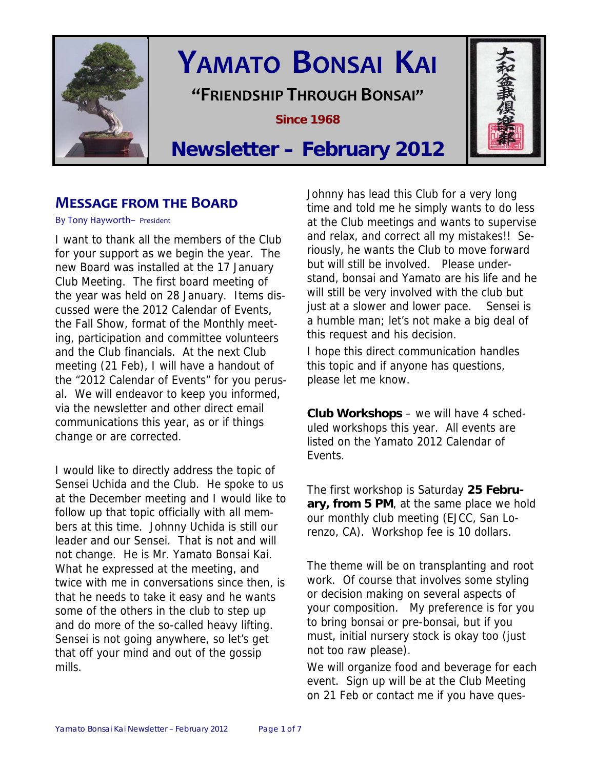

# **YAMATO BONSAI KAI**

**"FRIENDSHIP THROUGH BONSAI"**

**Since 1968** 



# **Newsletter – February 2012**

# **MESSAGE FROM THE BOARD**

By Tony Hayworth– President

I want to thank all the members of the Club for your support as we begin the year. The new Board was installed at the 17 January Club Meeting. The first board meeting of the year was held on 28 January. Items discussed were the 2012 Calendar of Events, the Fall Show, format of the Monthly meeting, participation and committee volunteers and the Club financials. At the next Club meeting (21 Feb), I will have a handout of the "2012 Calendar of Events" for you perusal. We will endeavor to keep you informed, via the newsletter and other direct email communications this year, as or if things change or are corrected.

I would like to directly address the topic of Sensei Uchida and the Club. He spoke to us at the December meeting and I would like to follow up that topic officially with all members at this time. Johnny Uchida is still our leader and our Sensei. That is not and will not change. He is Mr. Yamato Bonsai Kai. What he expressed at the meeting, and twice with me in conversations since then, is that he needs to take it easy and he wants some of the others in the club to step up and do more of the so-called heavy lifting. Sensei is not going anywhere, so let's get that off your mind and out of the gossip mills.

Johnny has lead this Club for a very long time and told me he simply wants to do less at the Club meetings and wants to supervise and relax, and correct all my mistakes!! Seriously, he wants the Club to move forward but will still be involved. Please understand, bonsai and Yamato are his life and he will still be very involved with the club but just at a slower and lower pace. Sensei is a humble man; let's not make a big deal of this request and his decision.

I hope this direct communication handles this topic and if anyone has questions, please let me know.

**Club Workshops** – we will have 4 scheduled workshops this year. All events are listed on the Yamato 2012 Calendar of Events.

The first workshop is Saturday **25 February, from 5 PM**, at the same place we hold our monthly club meeting (EJCC, San Lorenzo, CA). Workshop fee is 10 dollars.

The theme will be on transplanting and root work. Of course that involves some styling or decision making on several aspects of your composition. My preference is for you to bring bonsai or pre-bonsai, but if you must, initial nursery stock is okay too (just not too raw please).

We will organize food and beverage for each event. Sign up will be at the Club Meeting on 21 Feb or contact me if you have ques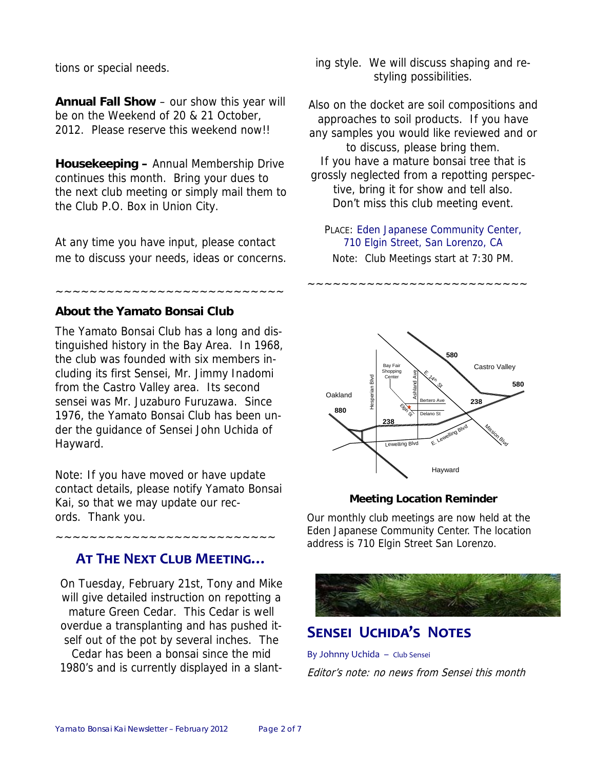tions or special needs.

**Annual Fall Show** – our show this year will be on the Weekend of 20 & 21 October, 2012. Please reserve this weekend now!!

**Housekeeping –** Annual Membership Drive continues this month. Bring your dues to the next club meeting or simply mail them to the Club P.O. Box in Union City.

At any time you have input, please contact me to discuss your needs, ideas or concerns.

~~~~~~~~~~~~~~~~~~~~~~~~~~~

#### **About the Yamato Bonsai Club**

The Yamato Bonsai Club has a long and distinguished history in the Bay Area. In 1968, the club was founded with six members including its first Sensei, Mr. Jimmy Inadomi from the Castro Valley area. Its second sensei was Mr. Juzaburo Furuzawa. Since 1976, the Yamato Bonsai Club has been under the guidance of Sensei John Uchida of Hayward.

Note: If you have moved or have update contact details, please notify Yamato Bonsai Kai, so that we may update our records. Thank you.

## **AT THE NEXT CLUB MEETING…**

~~~~~~~~~~~~~~~~~~~~~~~~~~

On Tuesday, February 21st, Tony and Mike will give detailed instruction on repotting a mature Green Cedar. This Cedar is well overdue a transplanting and has pushed itself out of the pot by several inches. The Cedar has been a bonsai since the mid 1980's and is currently displayed in a slanting style. We will discuss shaping and restyling possibilities.

Also on the docket are soil compositions and approaches to soil products. If you have any samples you would like reviewed and or to discuss, please bring them. If you have a mature bonsai tree that is grossly neglected from a repotting perspective, bring it for show and tell also. Don't miss this club meeting event.

PLACE: Eden Japanese Community Center, 710 Elgin Street, San Lorenzo, CA Note: Club Meetings start at 7:30 PM.

~~~~~~~~~~~~~~~~~~~~~~~~~~



#### **Meeting Location Reminder**

Our monthly club meetings are now held at the Eden Japanese Community Center. The location address is 710 Elgin Street San Lorenzo.



# **SENSEI UCHIDA'S NOTES**

By Johnny Uchida – Club Sensei Editor's note: no news from Sensei this month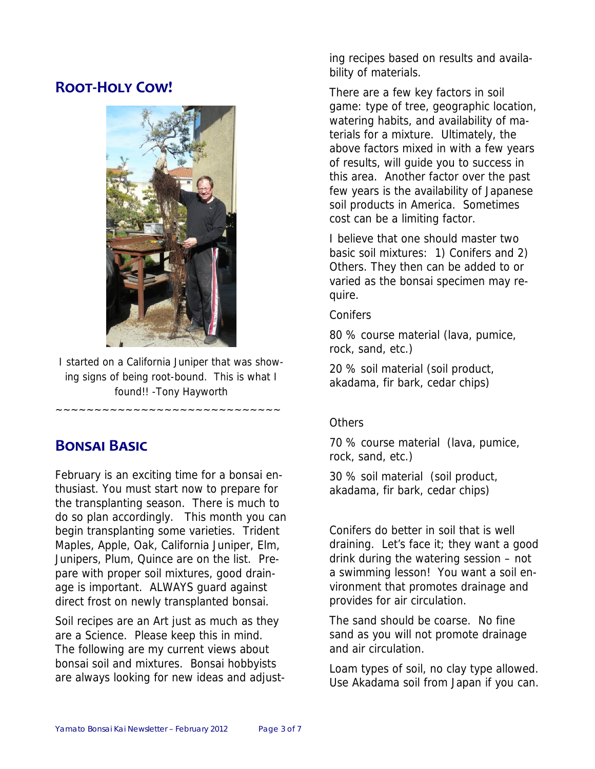# **ROOT‐HOLY COW!**



I started on a California Juniper that was showing signs of being root-bound. This is what I found!! -Tony Hayworth

~~~~~~~~~~~~~~~~~~~~~~~~~~~

# **BONSAI BASIC**

February is an exciting time for a bonsai enthusiast. You must start now to prepare for the transplanting season. There is much to do so plan accordingly. This month you can begin transplanting some varieties. Trident Maples, Apple, Oak, California Juniper, Elm, Junipers, Plum, Quince are on the list. Prepare with proper soil mixtures, good drainage is important. ALWAYS guard against direct frost on newly transplanted bonsai.

Soil recipes are an Art just as much as they are a Science. Please keep this in mind. The following are my current views about bonsai soil and mixtures. Bonsai hobbyists are always looking for new ideas and adjusting recipes based on results and availability of materials.

There are a few key factors in soil game: type of tree, geographic location, watering habits, and availability of materials for a mixture. Ultimately, the above factors mixed in with a few years of results, will guide you to success in this area. Another factor over the past few years is the availability of Japanese soil products in America. Sometimes cost can be a limiting factor.

I believe that one should master two basic soil mixtures: 1) Conifers and 2) Others. They then can be added to or varied as the bonsai specimen may require.

**Conifers** 

80 % course material (lava, pumice, rock, sand, etc.)

20 % soil material (soil product, akadama, fir bark, cedar chips)

# **Others**

70 % course material (lava, pumice, rock, sand, etc.)

30 % soil material (soil product, akadama, fir bark, cedar chips)

Conifers do better in soil that is well draining. Let's face it; they want a good drink during the watering session – not a swimming lesson! You want a soil environment that promotes drainage and provides for air circulation.

The sand should be coarse. No fine sand as you will not promote drainage and air circulation.

Loam types of soil, no clay type allowed. Use Akadama soil from Japan if you can.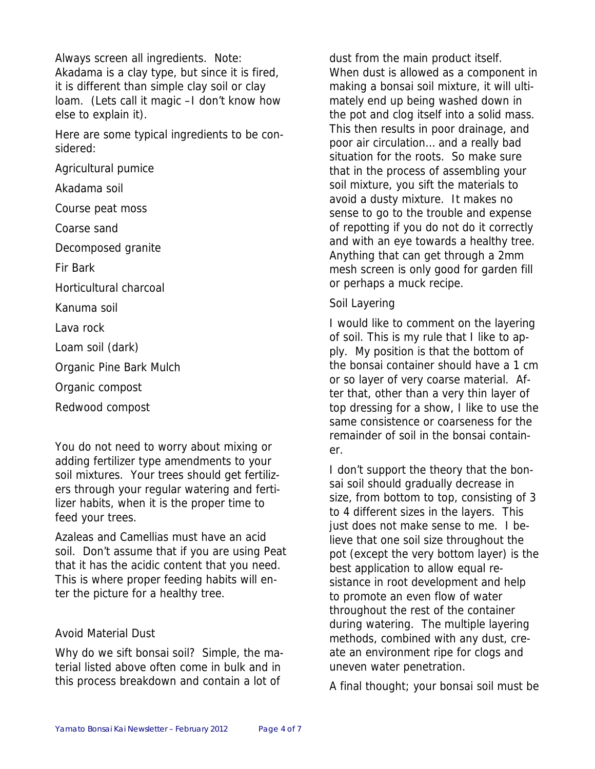Always screen all ingredients. Note: Akadama is a clay type, but since it is fired, it is different than simple clay soil or clay loam. (Lets call it magic –I don't know how else to explain it).

Here are some typical ingredients to be considered:

Agricultural pumice

Akadama soil

Course peat moss

Coarse sand

Decomposed granite

Fir Bark

Horticultural charcoal

Kanuma soil

Lava rock

Loam soil (dark)

Organic Pine Bark Mulch

Organic compost

Redwood compost

You do not need to worry about mixing or adding fertilizer type amendments to your soil mixtures. Your trees should get fertilizers through your regular watering and fertilizer habits, when it is the proper time to feed your trees.

Azaleas and Camellias must have an acid soil. Don't assume that if you are using Peat that it has the acidic content that you need. This is where proper feeding habits will enter the picture for a healthy tree.

# Avoid Material Dust

Why do we sift bonsai soil? Simple, the material listed above often come in bulk and in this process breakdown and contain a lot of

dust from the main product itself. When dust is allowed as a component in making a bonsai soil mixture, it will ultimately end up being washed down in the pot and clog itself into a solid mass. This then results in poor drainage, and poor air circulation… and a really bad situation for the roots. So make sure that in the process of assembling your soil mixture, you sift the materials to avoid a dusty mixture. It makes no sense to go to the trouble and expense of repotting if you do not do it correctly and with an eye towards a healthy tree. Anything that can get through a 2mm mesh screen is only good for garden fill or perhaps a muck recipe.

### Soil Layering

I would like to comment on the layering of soil. This is my rule that I like to apply. My position is that the bottom of the bonsai container should have a 1 cm or so layer of very coarse material. After that, other than a very thin layer of top dressing for a show, I like to use the same consistence or coarseness for the remainder of soil in the bonsai container.

I don't support the theory that the bonsai soil should gradually decrease in size, from bottom to top, consisting of 3 to 4 different sizes in the layers. This just does not make sense to me. I believe that one soil size throughout the pot (except the very bottom layer) is the best application to allow equal resistance in root development and help to promote an even flow of water throughout the rest of the container during watering. The multiple layering methods, combined with any dust, create an environment ripe for clogs and uneven water penetration.

A final thought; your bonsai soil must be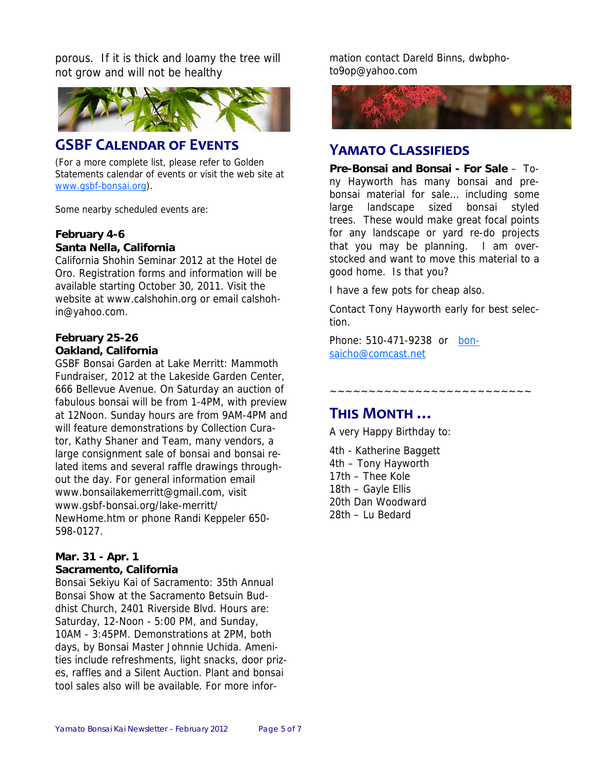porous. If it is thick and loamy the tree will not grow and will not be healthy



# **GSBF CALENDAR OF EVENTS**

(For a more complete list, please refer to Golden Statements calendar of events or visit the web site at www.gsbf-bonsai.org).

Some nearby scheduled events are:

#### **February 4-6 Santa Nella, California**

California Shohin Seminar 2012 at the Hotel de Oro. Registration forms and information will be available starting October 30, 2011. Visit the website at www.calshohin.org or email calshohin@yahoo.com.

#### **February 25-26 Oakland, California**

GSBF Bonsai Garden at Lake Merritt: Mammoth Fundraiser, 2012 at the Lakeside Garden Center, 666 Bellevue Avenue. On Saturday an auction of fabulous bonsai will be from 1-4PM, with preview at 12Noon. Sunday hours are from 9AM-4PM and will feature demonstrations by Collection Curator, Kathy Shaner and Team, many vendors, a large consignment sale of bonsai and bonsai related items and several raffle drawings throughout the day. For general information email www.bonsailakemerritt@gmail.com, visit www.gsbf-bonsai.org/lake-merritt/ NewHome.htm or phone Randi Keppeler 650- 598-0127.

#### **Mar. 31 - Apr. 1 Sacramento, California**

Bonsai Sekiyu Kai of Sacramento: 35th Annual Bonsai Show at the Sacramento Betsuin Buddhist Church, 2401 Riverside Blvd. Hours are: Saturday, 12-Noon - 5:00 PM, and Sunday, 10AM - 3:45PM. Demonstrations at 2PM, both days, by Bonsai Master Johnnie Uchida. Amenities include refreshments, light snacks, door prizes, raffles and a Silent Auction. Plant and bonsai tool sales also will be available. For more information contact Dareld Binns, dwbphoto9op@yahoo.com



# **YAMATO CLASSIFIEDS**

**Pre-Bonsai and Bonsai - For Sale** – Tony Hayworth has many bonsai and prebonsai material for sale… including some large landscape sized bonsai styled trees. These would make great focal points for any landscape or yard re-do projects that you may be planning. I am overstocked and want to move this material to a good home. Is that you?

I have a few pots for cheap also.

Contact Tony Hayworth early for best selection.

~~~~~~~~~~~~~~~~~~

Phone: 510-471-9238 or bonsaicho@comcast.net

# **THIS MONTH …**

A very Happy Birthday to:

4th - Katherine Baggett 4th – Tony Hayworth 17th – Thee Kole 18th – Gayle Ellis 20th Dan Woodward 28th – Lu Bedard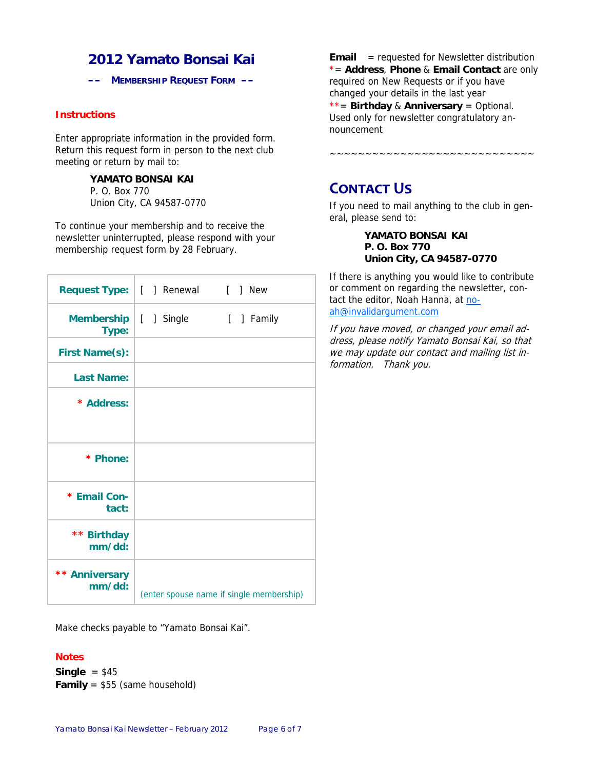# **2012 Yamato Bonsai Kai**

**–– MEMBERSHIP REQUEST FORM ––** 

#### **Instructions**

Enter appropriate information in the provided form. Return this request form in person to the next club meeting or return by mail to:

#### **YAMATO BONSAI KAI**

P. O. Box 770 Union City, CA 94587-0770

To continue your membership and to receive the newsletter uninterrupted, please respond with your membership request form by 28 February.

|                                  | Request Type:   [ ] Renewal [ ] New |                                          |
|----------------------------------|-------------------------------------|------------------------------------------|
| Membership   [ ] Single<br>Type: |                                     | [ ] Family                               |
| <b>First Name(s):</b>            |                                     |                                          |
| <b>Last Name:</b>                |                                     |                                          |
| * Address:                       |                                     |                                          |
|                                  |                                     |                                          |
| * Phone:                         |                                     |                                          |
| * Email Con-<br>tact:            |                                     |                                          |
| ** Birthday<br>mm/dd:            |                                     |                                          |
| ** Anniversary<br>mm/dd:         |                                     | (enter spouse name if single membership) |

Make checks payable to "Yamato Bonsai Kai".

#### **Notes**

**Single** = \$45 **Family** = \$55 (same household) **Email** = requested for Newsletter distribution \*= **Address**, **Phone** & **Email Contact** are only required on New Requests or if you have changed your details in the last year \*\*= **Birthday** & **Anniversary** = Optional. Used only for newsletter congratulatory announcement

~~~~~~~~~~~~~~~~~~~~~~~~~~~~~

**CONTACT US** 

If you need to mail anything to the club in general, please send to:

> **YAMATO BONSAI KAI P. O. Box 770 Union City, CA 94587-0770**

If there is anything you would like to contribute or comment on regarding the newsletter, contact the editor, Noah Hanna, at noah@invalidargument.com

If you have moved, or changed your email address, please notify Yamato Bonsai Kai, so that we may update our contact and mailing list information. Thank you.